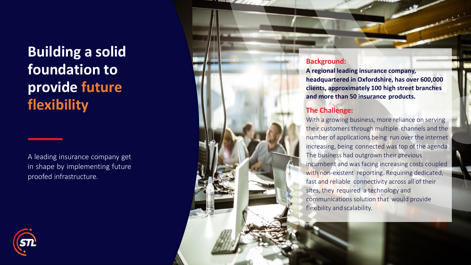## **Building a solid foundation to provide future flexibility**

A leading insurance company get in shape by implementing future proofed infrastructure .

## **Background:**

**A regional leading insurance compan y, headquartered in Oxfordshire, has over 600,000 clients, approximately 10 0 high street branches and more than 5 0 insurance products.**

## **The Challenge:**

With a growing business, more reliance on serving their customers through multiple channels and the number of applications being run over the internet increasing, being connected was top o f the agenda. The business had outgrown their previous incumbent and was <sup>f</sup>acing increasing costs coupled with non-existent reporting. Requiring dedicated, fast and reliable connectivity across all of their sites, they required a technology and communications solution that would provide flexibility and scalability.